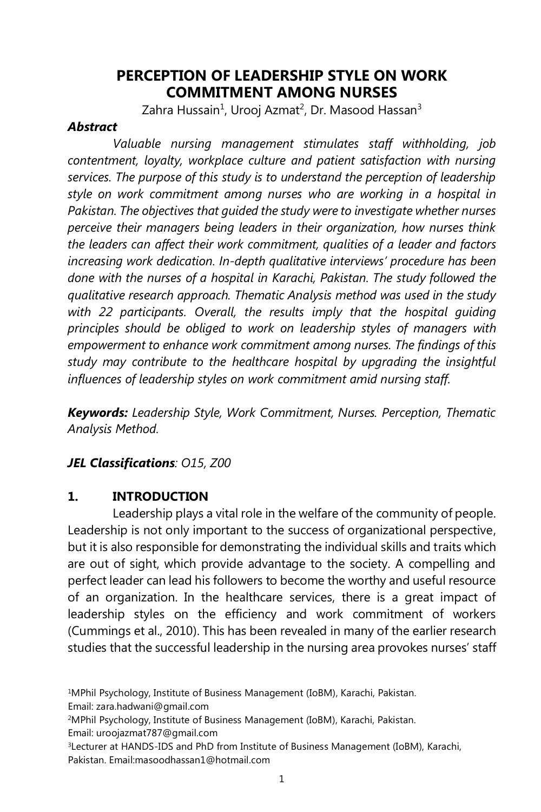# **PERCEPTION OF LEADERSHIP STYLE ON WORK COMMITMENT AMONG NURSES**

Zahra Hussain<sup>1</sup>, Urooj Azmat<sup>2</sup>, Dr. Masood Hassan<sup>3</sup>

## *Abstract*

*Valuable nursing management stimulates staff withholding, job contentment, loyalty, workplace culture and patient satisfaction with nursing services. The purpose of this study is to understand the perception of leadership style on work commitment among nurses who are working in a hospital in Pakistan. The objectives that guided the study were to investigate whether nurses perceive their managers being leaders in their organization, how nurses think the leaders can affect their work commitment, qualities of a leader and factors increasing work dedication. In-depth qualitative interviews' procedure has been done with the nurses of a hospital in Karachi, Pakistan. The study followed the qualitative research approach. Thematic Analysis method was used in the study*  with 22 participants. Overall, the results imply that the hospital quiding *principles should be obliged to work on leadership styles of managers with empowerment to enhance work commitment among nurses. The findings of this study may contribute to the healthcare hospital by upgrading the insightful influences of leadership styles on work commitment amid nursing staff.* 

*Keywords: Leadership Style, Work Commitment, Nurses. Perception, Thematic Analysis Method.*

# *JEL Classifications: O15, Z00*

## **1. INTRODUCTION**

Leadership plays a vital role in the welfare of the community of people. Leadership is not only important to the success of organizational perspective, but it is also responsible for demonstrating the individual skills and traits which are out of sight, which provide advantage to the society. A compelling and perfect leader can lead his followers to become the worthy and useful resource of an organization. In the healthcare services, there is a great impact of leadership styles on the efficiency and work commitment of workers (Cummings et al., 2010). This has been revealed in many of the earlier research studies that the successful leadership in the nursing area provokes nurses' staff

<sup>1</sup>MPhil Psychology, Institute of Business Management (IoBM), Karachi, Pakistan.

Email: zara.hadwani@gmail.com

<sup>2</sup>MPhil Psychology, Institute of Business Management (IoBM), Karachi, Pakistan.

Email: uroojazmat787@gmail.com

<sup>&</sup>lt;sup>3</sup>Lecturer at HANDS-IDS and PhD from Institute of Business Management (IoBM), Karachi, Pakistan. Email:masoodhassan1@hotmail.com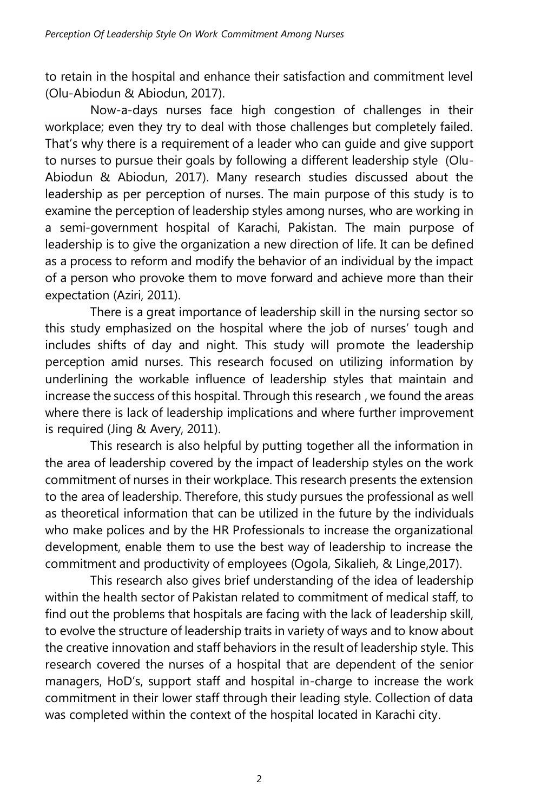to retain in the hospital and enhance their satisfaction and commitment level (Olu-Abiodun & Abiodun, 2017).

Now-a-days nurses face high congestion of challenges in their workplace; even they try to deal with those challenges but completely failed. That's why there is a requirement of a leader who can guide and give support to nurses to pursue their goals by following a different leadership style (Olu-Abiodun & Abiodun, 2017). Many research studies discussed about the leadership as per perception of nurses. The main purpose of this study is to examine the perception of leadership styles among nurses, who are working in a semi-government hospital of Karachi, Pakistan. The main purpose of leadership is to give the organization a new direction of life. It can be defined as a process to reform and modify the behavior of an individual by the impact of a person who provoke them to move forward and achieve more than their expectation (Aziri, 2011).

There is a great importance of leadership skill in the nursing sector so this study emphasized on the hospital where the job of nurses' tough and includes shifts of day and night. This study will promote the leadership perception amid nurses. This research focused on utilizing information by underlining the workable influence of leadership styles that maintain and increase the success of this hospital. Through this research , we found the areas where there is lack of leadership implications and where further improvement is required (Jing & Avery, 2011).

This research is also helpful by putting together all the information in the area of leadership covered by the impact of leadership styles on the work commitment of nurses in their workplace. This research presents the extension to the area of leadership. Therefore, this study pursues the professional as well as theoretical information that can be utilized in the future by the individuals who make polices and by the HR Professionals to increase the organizational development, enable them to use the best way of leadership to increase the commitment and productivity of employees (Ogola, Sikalieh, & Linge,2017).

This research also gives brief understanding of the idea of leadership within the health sector of Pakistan related to commitment of medical staff, to find out the problems that hospitals are facing with the lack of leadership skill, to evolve the structure of leadership traits in variety of ways and to know about the creative innovation and staff behaviors in the result of leadership style. This research covered the nurses of a hospital that are dependent of the senior managers, HoD's, support staff and hospital in-charge to increase the work commitment in their lower staff through their leading style. Collection of data was completed within the context of the hospital located in Karachi city.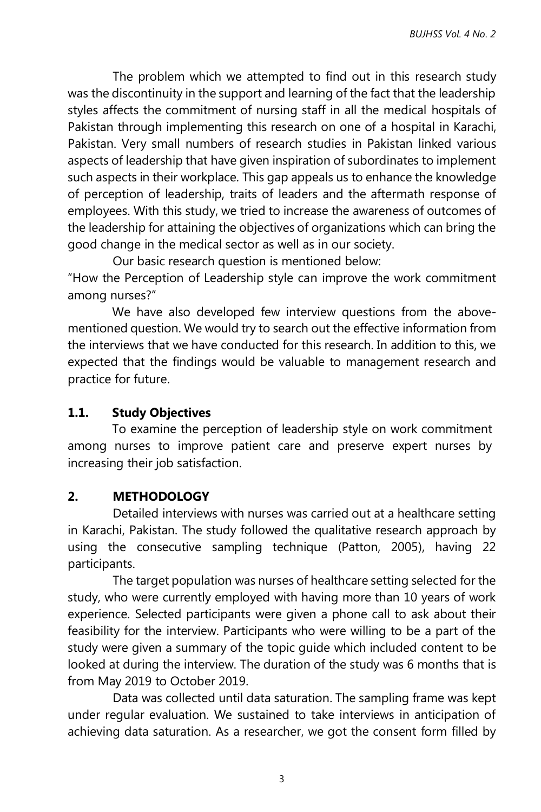The problem which we attempted to find out in this research study was the discontinuity in the support and learning of the fact that the leadership styles affects the commitment of nursing staff in all the medical hospitals of Pakistan through implementing this research on one of a hospital in Karachi, Pakistan. Very small numbers of research studies in Pakistan linked various aspects of leadership that have given inspiration of subordinates to implement such aspects in their workplace. This gap appeals us to enhance the knowledge of perception of leadership, traits of leaders and the aftermath response of employees. With this study, we tried to increase the awareness of outcomes of the leadership for attaining the objectives of organizations which can bring the good change in the medical sector as well as in our society.

Our basic research question is mentioned below: "How the Perception of Leadership style can improve the work commitment among nurses?"

We have also developed few interview questions from the abovementioned question. We would try to search out the effective information from the interviews that we have conducted for this research. In addition to this, we expected that the findings would be valuable to management research and practice for future.

### **1.1. Study Objectives**

To examine the perception of leadership style on work commitment among nurses to improve patient care and preserve expert nurses by increasing their job satisfaction.

## **2. METHODOLOGY**

Detailed interviews with nurses was carried out at a healthcare setting in Karachi, Pakistan. The study followed the qualitative research approach by using the consecutive sampling technique (Patton, 2005), having 22 participants.

The target population was nurses of healthcare setting selected for the study, who were currently employed with having more than 10 years of work experience. Selected participants were given a phone call to ask about their feasibility for the interview. Participants who were willing to be a part of the study were given a summary of the topic guide which included content to be looked at during the interview. The duration of the study was 6 months that is from May 2019 to October 2019.

Data was collected until data saturation. The sampling frame was kept under regular evaluation. We sustained to take interviews in anticipation of achieving data saturation. As a researcher, we got the consent form filled by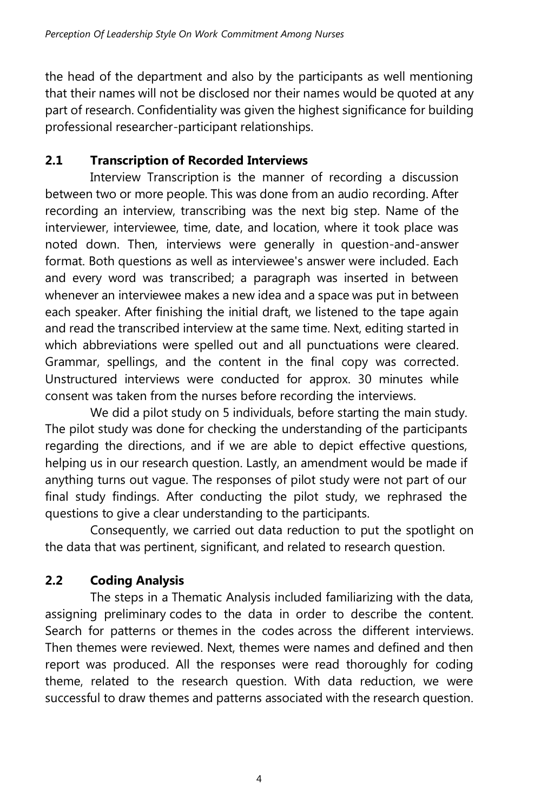the head of the department and also by the participants as well mentioning that their names will not be disclosed nor their names would be quoted at any part of research. Confidentiality was given the highest significance for building professional researcher-participant relationships.

# **2.1 Transcription of Recorded Interviews**

Interview Transcription is the manner of recording a discussion between two or more people. This was done from an audio recording. After recording an interview, transcribing was the next big step. Name of the interviewer, interviewee, time, date, and location, where it took place was noted down. Then, interviews were generally in question-and-answer format. Both questions as well as interviewee's answer were included. Each and every word was transcribed; a paragraph was inserted in between whenever an interviewee makes a new idea and a space was put in between each speaker. After finishing the initial draft, we listened to the tape again and read the transcribed interview at the same time. Next, editing started in which abbreviations were spelled out and all punctuations were cleared. Grammar, spellings, and the content in the final copy was corrected. Unstructured interviews were conducted for approx. 30 minutes while consent was taken from the nurses before recording the interviews.

We did a pilot study on 5 individuals, before starting the main study. The pilot study was done for checking the understanding of the participants regarding the directions, and if we are able to depict effective questions, helping us in our research question. Lastly, an amendment would be made if anything turns out vague. The responses of pilot study were not part of our final study findings. After conducting the pilot study, we rephrased the questions to give a clear understanding to the participants.

Consequently, we carried out data reduction to put the spotlight on the data that was pertinent, significant, and related to research question.

# **2.2 Coding Analysis**

The steps in a Thematic Analysis included familiarizing with the data, assigning preliminary codes to the data in order to describe the content. Search for patterns or themes in the codes across the different interviews. Then themes were reviewed. Next, themes were names and defined and then report was produced. All the responses were read thoroughly for coding theme, related to the research question. With data reduction, we were successful to draw themes and patterns associated with the research question.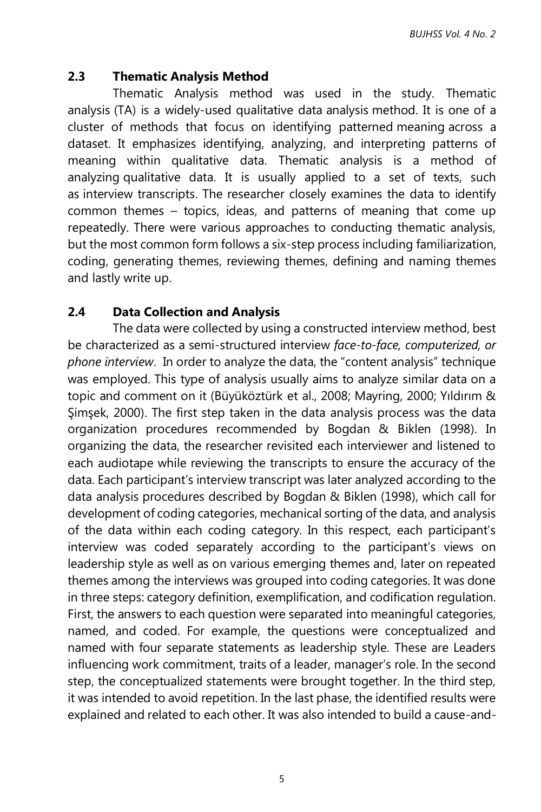### **2.3 Thematic Analysis Method**

Thematic Analysis method was used in the study. Thematic analysis (TA) is a widely-used qualitative data analysis method. It is one of a cluster of methods that focus on identifying patterned meaning across a dataset. It emphasizes identifying, analyzing, and interpreting patterns of meaning within qualitative data. Thematic analysis is a method of analyzing [qualitative data.](https://www.scribbr.com/methodology/qualitative-quantitative-research/) It is usually applied to a set of texts, such as [interview transcripts.](https://www.scribbr.com/methodology/transcribe-interview/) The researcher closely examines the data to identify common themes – topics, ideas, and patterns of meaning that come up repeatedly. There were various approaches to conducting thematic analysis, but the most common form follows a six-step process including [familiarization,](https://www.scribbr.com/methodology/thematic-analysis/#step-1-familiarization) [coding,](https://www.scribbr.com/methodology/thematic-analysis/#step-2-coding) [generating themes,](https://www.scribbr.com/methodology/thematic-analysis/#step-3-generating-themes) [reviewing themes,](https://www.scribbr.com/methodology/thematic-analysis/#step-4-reviewing-themes) [defining and naming themes](https://www.scribbr.com/methodology/thematic-analysis/#step-5-defining-and-naming-themes) and lastl[y write](https://www.scribbr.com/methodology/thematic-analysis/#step-6-writing-up) up.

### **2.4 Data Collection and Analysis**

The data were collected by using a constructed interview method, best be characterized as a semi-structured interview *face-to-face, computerized, or phone interview*. In order to analyze the data, the "content analysis" technique was employed. This type of analysis usually aims to analyze similar data on a topic and comment on it (Büyüköztürk et al., 2008; Mayring, 2000; Yıldırım & Şimşek, 2000). The first step taken in the data analysis process was the data organization procedures recommended by Bogdan & Biklen (1998). In organizing the data, the researcher revisited each interviewer and listened to each audiotape while reviewing the transcripts to ensure the accuracy of the data. Each participant's interview transcript was later analyzed according to the data analysis procedures described by Bogdan & Biklen (1998), which call for development of coding categories, mechanical sorting of the data, and analysis of the data within each coding category. In this respect, each participant's interview was coded separately according to the participant's views on leadership style as well as on various emerging themes and, later on repeated themes among the interviews was grouped into coding categories. It was done in three steps: category definition, exemplification, and codification regulation. First, the answers to each question were separated into meaningful categories, named, and coded. For example, the questions were conceptualized and named with four separate statements as leadership style. These are Leaders influencing work commitment, traits of a leader, manager's role. In the second step, the conceptualized statements were brought together. In the third step, it was intended to avoid repetition. In the last phase, the identified results were explained and related to each other. It was also intended to build a cause-and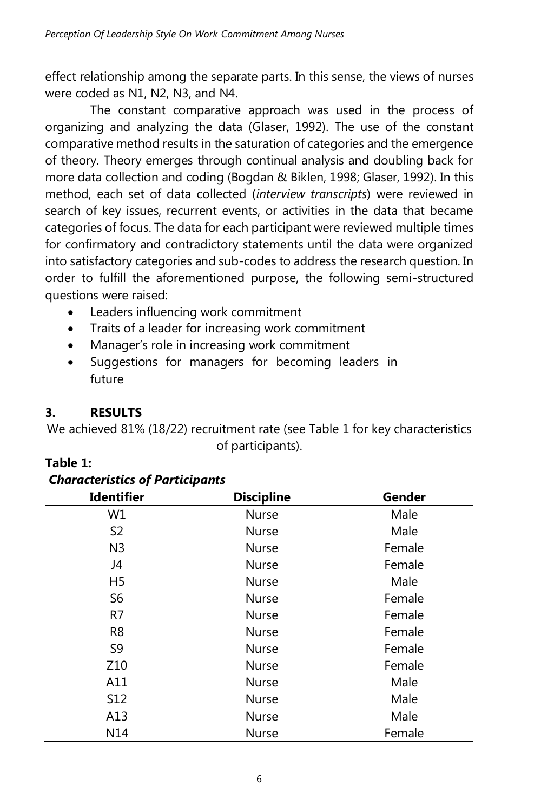effect relationship among the separate parts. In this sense, the views of nurses were coded as N1, N2, N3, and N4.

The constant comparative approach was used in the process of organizing and analyzing the data (Glaser, 1992). The use of the constant comparative method results in the saturation of categories and the emergence of theory. Theory emerges through continual analysis and doubling back for more data collection and coding (Bogdan & Biklen, 1998; Glaser, 1992). In this method, each set of data collected (*interview transcripts*) were reviewed in search of key issues, recurrent events, or activities in the data that became categories of focus. The data for each participant were reviewed multiple times for confirmatory and contradictory statements until the data were organized into satisfactory categories and sub-codes to address the research question. In order to fulfill the aforementioned purpose, the following semi-structured questions were raised:

- Leaders influencing work commitment
- Traits of a leader for increasing work commitment
- Manager's role in increasing work commitment
- Suggestions for managers for becoming leaders in future

# **3. RESULTS**

*Characteristics of Participants*

We achieved 81% (18/22) recruitment rate (see Table 1 for key characteristics of participants).

| <b>Identifier</b> | <b>Discipline</b> | Gender |
|-------------------|-------------------|--------|
| W1                | Nurse             | Male   |
| S <sub>2</sub>    | <b>Nurse</b>      | Male   |
| N <sub>3</sub>    | Nurse             | Female |
| J4                | Nurse             | Female |
| H5                | Nurse             | Male   |
| S6                | Nurse             | Female |
| R7                | Nurse             | Female |
| R <sub>8</sub>    | <b>Nurse</b>      | Female |
| S9                | <b>Nurse</b>      | Female |
| Z <sub>10</sub>   | <b>Nurse</b>      | Female |
| A11               | <b>Nurse</b>      | Male   |
| <b>S12</b>        | <b>Nurse</b>      | Male   |
| A13               | <b>Nurse</b>      | Male   |
| N14               | Nurse             | Female |

## **Table 1:**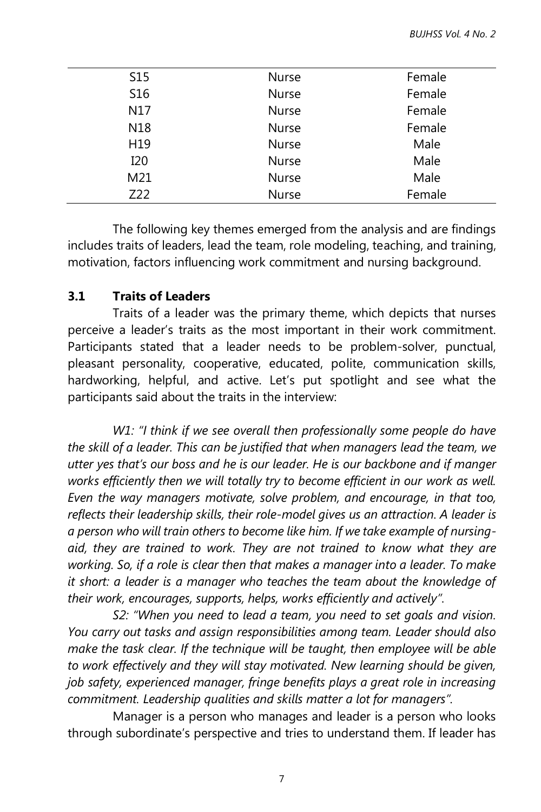| S <sub>15</sub> | <b>Nurse</b> | Female |
|-----------------|--------------|--------|
| S <sub>16</sub> | <b>Nurse</b> | Female |
| N17             | <b>Nurse</b> | Female |
| N <sub>18</sub> | Nurse        | Female |
| H19             | <b>Nurse</b> | Male   |
| I <sub>20</sub> | <b>Nurse</b> | Male   |
| M21             | <b>Nurse</b> | Male   |
| Z22             | Nurse        | Female |
|                 |              |        |

The following key themes emerged from the analysis and are findings includes traits of leaders, lead the team, role modeling, teaching, and training, motivation, factors influencing work commitment and nursing background.

### **3.1 Traits of Leaders**

Traits of a leader was the primary theme, which depicts that nurses perceive a leader's traits as the most important in their work commitment. Participants stated that a leader needs to be problem-solver, punctual, pleasant personality, cooperative, educated, polite, communication skills, hardworking, helpful, and active. Let's put spotlight and see what the participants said about the traits in the interview:

*W1: "I think if we see overall then professionally some people do have the skill of a leader. This can be justified that when managers lead the team, we utter yes that's our boss and he is our leader. He is our backbone and if manger works efficiently then we will totally try to become efficient in our work as well. Even the way managers motivate, solve problem, and encourage, in that too, reflects their leadership skills, their role-model gives us an attraction. A leader is a person who will train others to become like him. If we take example of nursingaid, they are trained to work. They are not trained to know what they are working. So, if a role is clear then that makes a manager into a leader. To make it short: a leader is a manager who teaches the team about the knowledge of their work, encourages, supports, helps, works efficiently and actively".*

*S2: "When you need to lead a team, you need to set goals and vision. You carry out tasks and assign responsibilities among team. Leader should also make the task clear. If the technique will be taught, then employee will be able to work effectively and they will stay motivated. New learning should be given, job safety, experienced manager, fringe benefits plays a great role in increasing commitment. Leadership qualities and skills matter a lot for managers".*

Manager is a person who manages and leader is a person who looks through subordinate's perspective and tries to understand them. If leader has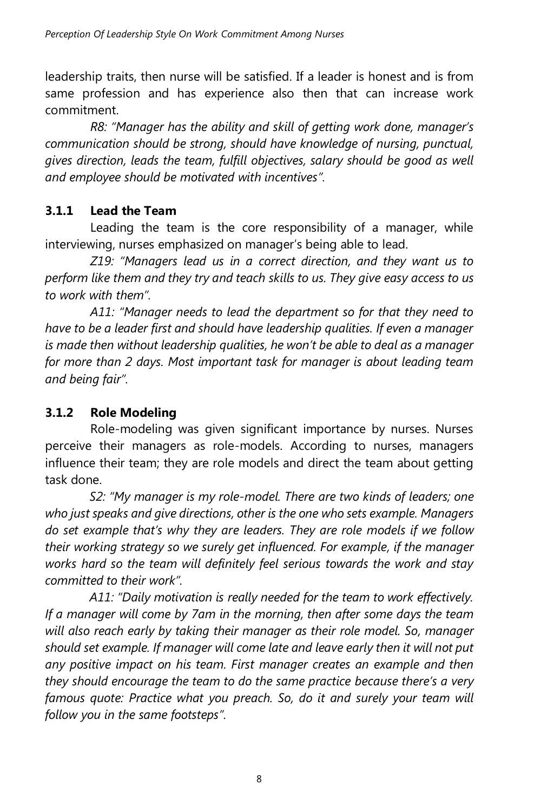leadership traits, then nurse will be satisfied. If a leader is honest and is from same profession and has experience also then that can increase work commitment.

*R8: "Manager has the ability and skill of getting work done, manager's communication should be strong, should have knowledge of nursing, punctual, gives direction, leads the team, fulfill objectives, salary should be good as well and employee should be motivated with incentives".*

# **3.1.1 Lead the Team**

Leading the team is the core responsibility of a manager, while interviewing, nurses emphasized on manager's being able to lead.

*Z19: "Managers lead us in a correct direction, and they want us to perform like them and they try and teach skills to us. They give easy access to us to work with them".*

*A11: "Manager needs to lead the department so for that they need to have to be a leader first and should have leadership qualities. If even a manager is made then without leadership qualities, he won't be able to deal as a manager for more than 2 days. Most important task for manager is about leading team and being fair".*

# **3.1.2 Role Modeling**

Role-modeling was given significant importance by nurses. Nurses perceive their managers as role-models. According to nurses, managers influence their team; they are role models and direct the team about getting task done.

*S2: "My manager is my role-model. There are two kinds of leaders; one who just speaks and give directions, other is the one who sets example. Managers do set example that's why they are leaders. They are role models if we follow their working strategy so we surely get influenced. For example, if the manager works hard so the team will definitely feel serious towards the work and stay committed to their work".*

*A11: "Daily motivation is really needed for the team to work effectively. If a manager will come by 7am in the morning, then after some days the team will also reach early by taking their manager as their role model. So, manager should set example. If manager will come late and leave early then it will not put any positive impact on his team. First manager creates an example and then they should encourage the team to do the same practice because there's a very famous quote: Practice what you preach. So, do it and surely your team will follow you in the same footsteps".*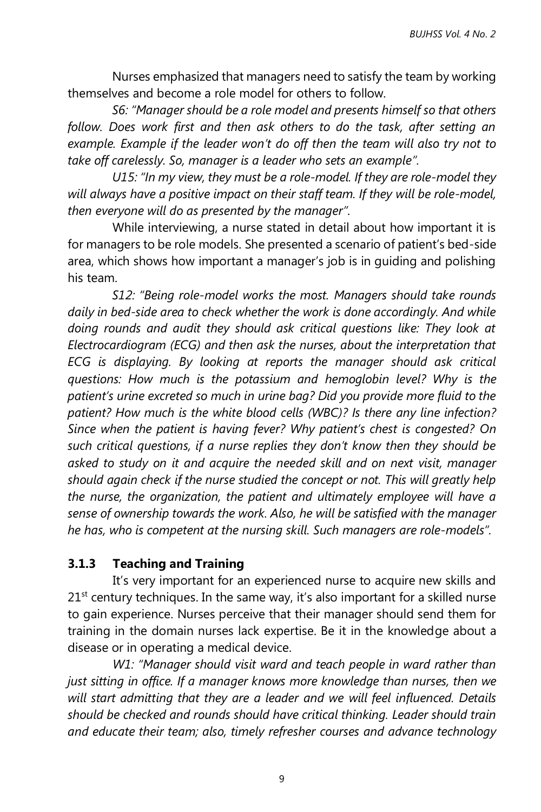Nurses emphasized that managers need to satisfy the team by working themselves and become a role model for others to follow.

*S6: "Manager should be a role model and presents himself so that others follow. Does work first and then ask others to do the task, after setting an example. Example if the leader won't do off then the team will also try not to take off carelessly. So, manager is a leader who sets an example".*

*U15: "In my view, they must be a role-model. If they are role-model they will always have a positive impact on their staff team. If they will be role-model, then everyone will do as presented by the manager".*

 While interviewing, a nurse stated in detail about how important it is for managers to be role models. She presented a scenario of patient's bed-side area, which shows how important a manager's job is in guiding and polishing his team.

*S12: "Being role-model works the most. Managers should take rounds daily in bed-side area to check whether the work is done accordingly. And while doing rounds and audit they should ask critical questions like: They look at Electrocardiogram (ECG) and then ask the nurses, about the interpretation that ECG is displaying. By looking at reports the manager should ask critical questions: How much is the potassium and hemoglobin level? Why is the patient's urine excreted so much in urine bag? Did you provide more fluid to the patient? How much is the white blood cells (WBC)? Is there any line infection? Since when the patient is having fever? Why patient's chest is congested? On such critical questions, if a nurse replies they don't know then they should be asked to study on it and acquire the needed skill and on next visit, manager should again check if the nurse studied the concept or not. This will greatly help the nurse, the organization, the patient and ultimately employee will have a sense of ownership towards the work. Also, he will be satisfied with the manager he has, who is competent at the nursing skill. Such managers are role-models".*

### **3.1.3 Teaching and Training**

It's very important for an experienced nurse to acquire new skills and  $21<sup>st</sup>$  century techniques. In the same way, it's also important for a skilled nurse to gain experience. Nurses perceive that their manager should send them for training in the domain nurses lack expertise. Be it in the knowledge about a disease or in operating a medical device.

*W1: "Manager should visit ward and teach people in ward rather than just sitting in office. If a manager knows more knowledge than nurses, then we will start admitting that they are a leader and we will feel influenced. Details should be checked and rounds should have critical thinking. Leader should train and educate their team; also, timely refresher courses and advance technology* 

9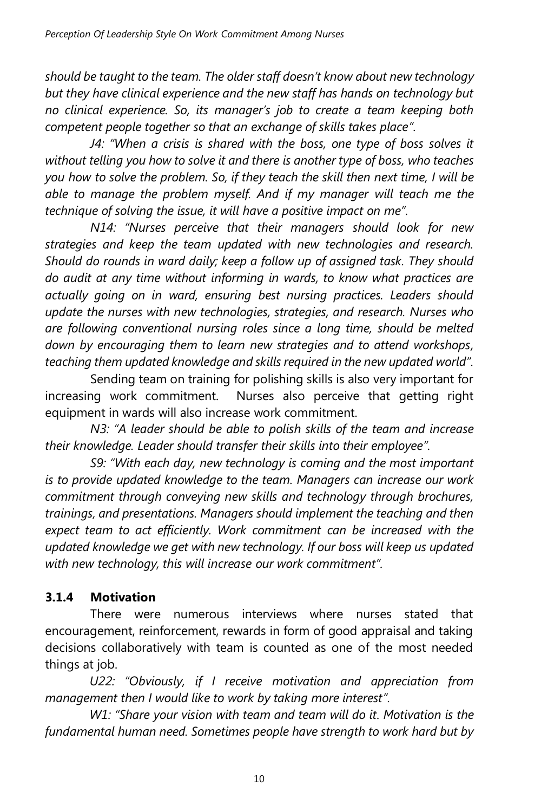*should be taught to the team. The older staff doesn't know about new technology but they have clinical experience and the new staff has hands on technology but no clinical experience. So, its manager's job to create a team keeping both competent people together so that an exchange of skills takes place".*

*J4: "When a crisis is shared with the boss, one type of boss solves it without telling you how to solve it and there is another type of boss, who teaches you how to solve the problem. So, if they teach the skill then next time, I will be able to manage the problem myself. And if my manager will teach me the technique of solving the issue, it will have a positive impact on me".*

*N14: "Nurses perceive that their managers should look for new strategies and keep the team updated with new technologies and research. Should do rounds in ward daily; keep a follow up of assigned task. They should do audit at any time without informing in wards, to know what practices are actually going on in ward, ensuring best nursing practices. Leaders should update the nurses with new technologies, strategies, and research. Nurses who are following conventional nursing roles since a long time, should be melted down by encouraging them to learn new strategies and to attend workshops, teaching them updated knowledge and skills required in the new updated world".*

Sending team on training for polishing skills is also very important for increasing work commitment. Nurses also perceive that getting right equipment in wards will also increase work commitment.

*N3: "A leader should be able to polish skills of the team and increase their knowledge. Leader should transfer their skills into their employee".*

*S9: "With each day, new technology is coming and the most important is to provide updated knowledge to the team. Managers can increase our work commitment through conveying new skills and technology through brochures, trainings, and presentations. Managers should implement the teaching and then expect team to act efficiently. Work commitment can be increased with the updated knowledge we get with new technology. If our boss will keep us updated with new technology, this will increase our work commitment".*

# **3.1.4 Motivation**

There were numerous interviews where nurses stated that encouragement, reinforcement, rewards in form of good appraisal and taking decisions collaboratively with team is counted as one of the most needed things at job.

*U22: "Obviously, if I receive motivation and appreciation from management then I would like to work by taking more interest".*

*W1: "Share your vision with team and team will do it. Motivation is the fundamental human need. Sometimes people have strength to work hard but by*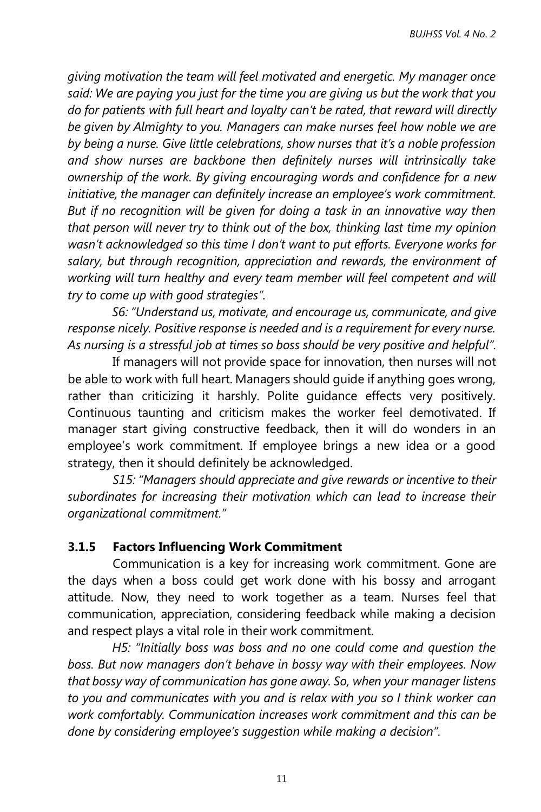*giving motivation the team will feel motivated and energetic. My manager once said: We are paying you just for the time you are giving us but the work that you do for patients with full heart and loyalty can't be rated, that reward will directly be given by Almighty to you. Managers can make nurses feel how noble we are by being a nurse. Give little celebrations, show nurses that it's a noble profession and show nurses are backbone then definitely nurses will intrinsically take ownership of the work. By giving encouraging words and confidence for a new initiative, the manager can definitely increase an employee's work commitment. But if no recognition will be given for doing a task in an innovative way then that person will never try to think out of the box, thinking last time my opinion wasn't acknowledged so this time I don't want to put efforts. Everyone works for salary, but through recognition, appreciation and rewards, the environment of*  working will turn healthy and every team member will feel competent and will *try to come up with good strategies".*

*S6: "Understand us, motivate, and encourage us, communicate, and give response nicely. Positive response is needed and is a requirement for every nurse. As nursing is a stressful job at times so boss should be very positive and helpful".*

 If managers will not provide space for innovation, then nurses will not be able to work with full heart. Managers should guide if anything goes wrong, rather than criticizing it harshly. Polite guidance effects very positively. Continuous taunting and criticism makes the worker feel demotivated. If manager start giving constructive feedback, then it will do wonders in an employee's work commitment. If employee brings a new idea or a good strategy, then it should definitely be acknowledged.

*S15: "Managers should appreciate and give rewards or incentive to their subordinates for increasing their motivation which can lead to increase their organizational commitment."*

### **3.1.5 Factors Influencing Work Commitment**

Communication is a key for increasing work commitment. Gone are the days when a boss could get work done with his bossy and arrogant attitude. Now, they need to work together as a team. Nurses feel that communication, appreciation, considering feedback while making a decision and respect plays a vital role in their work commitment.

*H5: "Initially boss was boss and no one could come and question the boss. But now managers don't behave in bossy way with their employees. Now that bossy way of communication has gone away. So, when your manager listens to you and communicates with you and is relax with you so I think worker can work comfortably. Communication increases work commitment and this can be done by considering employee's suggestion while making a decision".*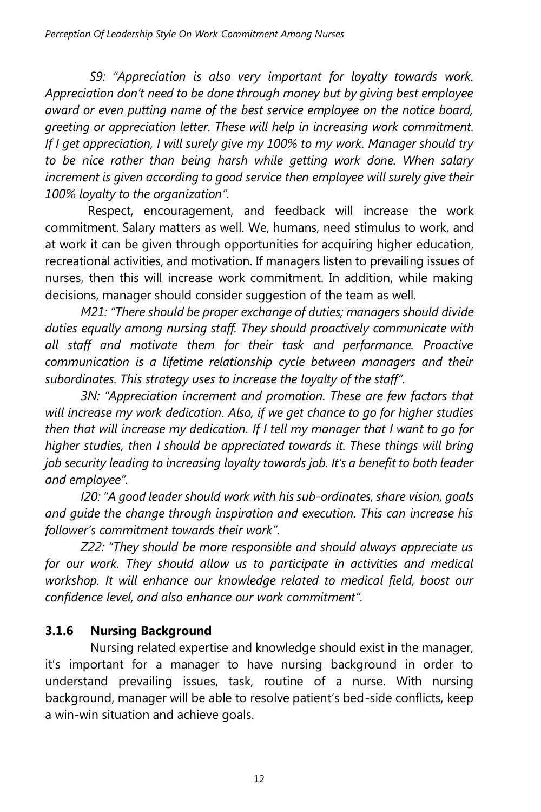*S9: "Appreciation is also very important for loyalty towards work. Appreciation don't need to be done through money but by giving best employee award or even putting name of the best service employee on the notice board, greeting or appreciation letter. These will help in increasing work commitment. If I get appreciation, I will surely give my 100% to my work. Manager should try to be nice rather than being harsh while getting work done. When salary increment is given according to good service then employee will surely give their 100% loyalty to the organization".*

 Respect, encouragement, and feedback will increase the work commitment. Salary matters as well. We, humans, need stimulus to work, and at work it can be given through opportunities for acquiring higher education, recreational activities, and motivation. If managers listen to prevailing issues of nurses, then this will increase work commitment. In addition, while making decisions, manager should consider suggestion of the team as well.

*M21: "There should be proper exchange of duties; managers should divide duties equally among nursing staff. They should proactively communicate with all staff and motivate them for their task and performance. Proactive communication is a lifetime relationship cycle between managers and their subordinates. This strategy uses to increase the loyalty of the staff".*

*3N: "Appreciation increment and promotion. These are few factors that will increase my work dedication. Also, if we get chance to go for higher studies then that will increase my dedication. If I tell my manager that I want to go for higher studies, then I should be appreciated towards it. These things will bring job security leading to increasing loyalty towards job. It's a benefit to both leader and employee".*

*I20: "A good leader should work with his sub-ordinates, share vision, goals and guide the change through inspiration and execution. This can increase his follower's commitment towards their work".* 

*Z22: "They should be more responsible and should always appreciate us*  for our work. They should allow us to participate in activities and medical *workshop. It will enhance our knowledge related to medical field, boost our confidence level, and also enhance our work commitment".* 

# **3.1.6 Nursing Background**

Nursing related expertise and knowledge should exist in the manager, it's important for a manager to have nursing background in order to understand prevailing issues, task, routine of a nurse. With nursing background, manager will be able to resolve patient's bed-side conflicts, keep a win-win situation and achieve goals.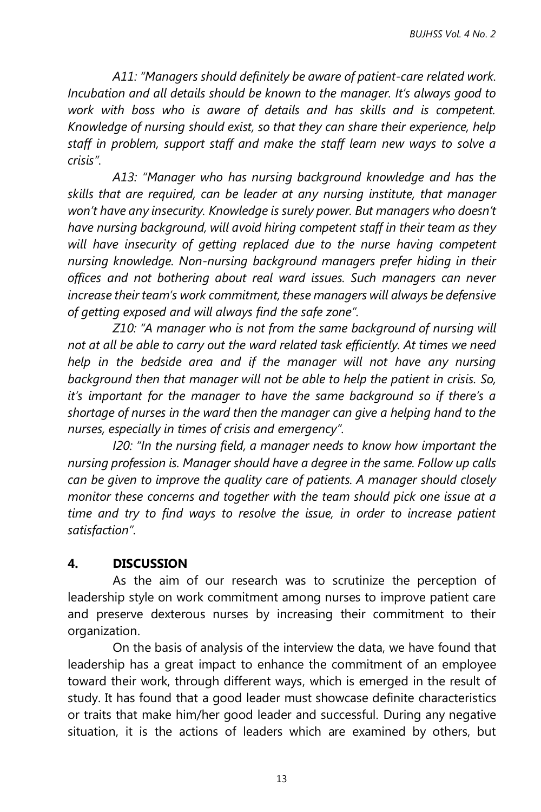*A11: "Managers should definitely be aware of patient-care related work. Incubation and all details should be known to the manager. It's always good to work with boss who is aware of details and has skills and is competent. Knowledge of nursing should exist, so that they can share their experience, help staff in problem, support staff and make the staff learn new ways to solve a crisis".*

*A13: "Manager who has nursing background knowledge and has the skills that are required, can be leader at any nursing institute, that manager won't have any insecurity. Knowledge is surely power. But managers who doesn't have nursing background, will avoid hiring competent staff in their team as they will have insecurity of getting replaced due to the nurse having competent nursing knowledge. Non-nursing background managers prefer hiding in their offices and not bothering about real ward issues. Such managers can never increase their team's work commitment, these managers will always be defensive of getting exposed and will always find the safe zone".*

*Z10: "A manager who is not from the same background of nursing will not at all be able to carry out the ward related task efficiently. At times we need help in the bedside area and if the manager will not have any nursing background then that manager will not be able to help the patient in crisis. So, it's important for the manager to have the same background so if there's a shortage of nurses in the ward then the manager can give a helping hand to the nurses, especially in times of crisis and emergency".*

*I20: "In the nursing field, a manager needs to know how important the nursing profession is. Manager should have a degree in the same. Follow up calls can be given to improve the quality care of patients. A manager should closely monitor these concerns and together with the team should pick one issue at a time and try to find ways to resolve the issue, in order to increase patient satisfaction".* 

### **4. DISCUSSION**

As the aim of our research was to scrutinize the perception of leadership style on work commitment among nurses to improve patient care and preserve dexterous nurses by increasing their commitment to their organization.

On the basis of analysis of the interview the data, we have found that leadership has a great impact to enhance the commitment of an employee toward their work, through different ways, which is emerged in the result of study. It has found that a good leader must showcase definite characteristics or traits that make him/her good leader and successful. During any negative situation, it is the actions of leaders which are examined by others, but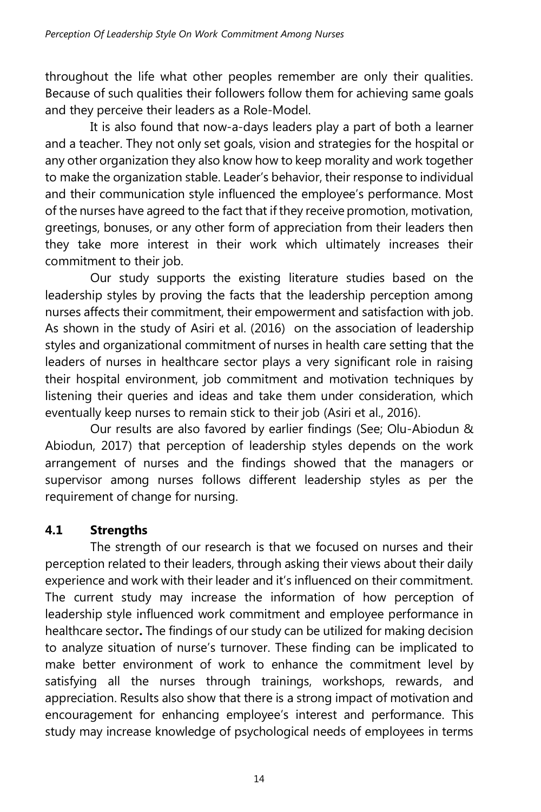throughout the life what other peoples remember are only their qualities. Because of such qualities their followers follow them for achieving same goals and they perceive their leaders as a Role-Model.

It is also found that now-a-days leaders play a part of both a learner and a teacher. They not only set goals, vision and strategies for the hospital or any other organization they also know how to keep morality and work together to make the organization stable. Leader's behavior, their response to individual and their communication style influenced the employee's performance. Most of the nurses have agreed to the fact that if they receive promotion, motivation, greetings, bonuses, or any other form of appreciation from their leaders then they take more interest in their work which ultimately increases their commitment to their job.

Our study supports the existing literature studies based on the leadership styles by proving the facts that the leadership perception among nurses affects their commitment, their empowerment and satisfaction with job. As shown in the study of Asiri et al. (2016) on the association of leadership styles and organizational commitment of nurses in health care setting that the leaders of nurses in healthcare sector plays a very significant role in raising their hospital environment, job commitment and motivation techniques by listening their queries and ideas and take them under consideration, which eventually keep nurses to remain stick to their job (Asiri et al., 2016).

Our results are also favored by earlier findings (See; Olu-Abiodun & Abiodun, 2017) that perception of leadership styles depends on the work arrangement of nurses and the findings showed that the managers or supervisor among nurses follows different leadership styles as per the requirement of change for nursing.

# **4.1 Strengths**

The strength of our research is that we focused on nurses and their perception related to their leaders, through asking their views about their daily experience and work with their leader and it's influenced on their commitment. The current study may increase the information of how perception of leadership style influenced work commitment and employee performance in healthcare sector**.** The findings of our study can be utilized for making decision to analyze situation of nurse's turnover. These finding can be implicated to make better environment of work to enhance the commitment level by satisfying all the nurses through trainings, workshops, rewards, and appreciation. Results also show that there is a strong impact of motivation and encouragement for enhancing employee's interest and performance. This study may increase knowledge of psychological needs of employees in terms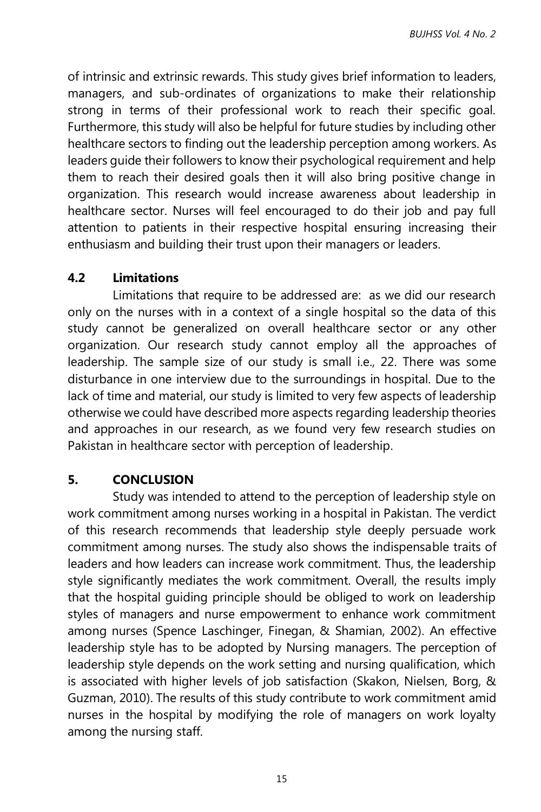of intrinsic and extrinsic rewards. This study gives brief information to leaders, managers, and sub-ordinates of organizations to make their relationship strong in terms of their professional work to reach their specific goal. Furthermore, this study will also be helpful for future studies by including other healthcare sectors to finding out the leadership perception among workers. As leaders guide their followers to know their psychological requirement and help them to reach their desired goals then it will also bring positive change in organization. This research would increase awareness about leadership in healthcare sector. Nurses will feel encouraged to do their job and pay full attention to patients in their respective hospital ensuring increasing their enthusiasm and building their trust upon their managers or leaders.

## **4.2 Limitations**

Limitations that require to be addressed are: as we did our research only on the nurses with in a context of a single hospital so the data of this study cannot be generalized on overall healthcare sector or any other organization. Our research study cannot employ all the approaches of leadership. The sample size of our study is small i.e., 22. There was some disturbance in one interview due to the surroundings in hospital. Due to the lack of time and material, our study is limited to very few aspects of leadership otherwise we could have described more aspects regarding leadership theories and approaches in our research, as we found very few research studies on Pakistan in healthcare sector with perception of leadership.

## **5. CONCLUSION**

Study was intended to attend to the perception of leadership style on work commitment among nurses working in a hospital in Pakistan. The verdict of this research recommends that leadership style deeply persuade work commitment among nurses. The study also shows the indispensable traits of leaders and how leaders can increase work commitment. Thus, the leadership style significantly mediates the work commitment. Overall, the results imply that the hospital guiding principle should be obliged to work on leadership styles of managers and nurse empowerment to enhance work commitment among nurses (Spence Laschinger, Finegan, & Shamian, 2002). An effective leadership style has to be adopted by Nursing managers. The perception of leadership style depends on the work setting and nursing qualification, which is associated with higher levels of job satisfaction (Skakon, Nielsen, Borg, & Guzman, 2010). The results of this study contribute to work commitment amid nurses in the hospital by modifying the role of managers on work loyalty among the nursing staff.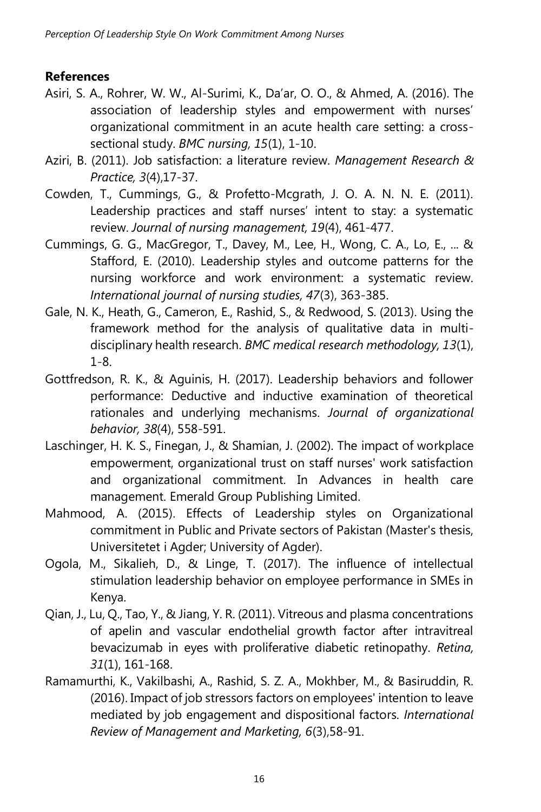## **References**

- Asiri, S. A., Rohrer, W. W., Al-Surimi, K., Da'ar, O. O., & Ahmed, A. (2016). The association of leadership styles and empowerment with nurses' organizational commitment in an acute health care setting: a crosssectional study. *BMC nursing, 15*(1), 1-10.
- Aziri, B. (2011). Job satisfaction: a literature review. *Management Research & Practice, 3*(4),17-37.
- Cowden, T., Cummings, G., & Profetto‐Mcgrath, J. O. A. N. N. E. (2011). Leadership practices and staff nurses' intent to stay: a systematic review. *Journal of nursing management, 19*(4), 461-477.
- Cummings, G. G., MacGregor, T., Davey, M., Lee, H., Wong, C. A., Lo, E., ... & Stafford, E. (2010). Leadership styles and outcome patterns for the nursing workforce and work environment: a systematic review. *International journal of nursing studies, 47*(3), 363-385.
- Gale, N. K., Heath, G., Cameron, E., Rashid, S., & Redwood, S. (2013). Using the framework method for the analysis of qualitative data in multidisciplinary health research. *BMC medical research methodology, 13*(1), 1-8.
- Gottfredson, R. K., & Aguinis, H. (2017). Leadership behaviors and follower performance: Deductive and inductive examination of theoretical rationales and underlying mechanisms. *Journal of organizational behavior, 38*(4), 558-591.
- Laschinger, H. K. S., Finegan, J., & Shamian, J. (2002). The impact of workplace empowerment, organizational trust on staff nurses' work satisfaction and organizational commitment. In Advances in health care management. Emerald Group Publishing Limited.
- Mahmood, A. (2015). Effects of Leadership styles on Organizational commitment in Public and Private sectors of Pakistan (Master's thesis, Universitetet i Agder; University of Agder).
- Ogola, M., Sikalieh, D., & Linge, T. (2017). The influence of intellectual stimulation leadership behavior on employee performance in SMEs in Kenya.
- Qian, J., Lu, Q., Tao, Y., & Jiang, Y. R. (2011). Vitreous and plasma concentrations of apelin and vascular endothelial growth factor after intravitreal bevacizumab in eyes with proliferative diabetic retinopathy. *Retina, 31*(1), 161-168.
- Ramamurthi, K., Vakilbashi, A., Rashid, S. Z. A., Mokhber, M., & Basiruddin, R. (2016). Impact of job stressors factors on employees' intention to leave mediated by job engagement and dispositional factors. *International Review of Management and Marketing, 6*(3),58-91.